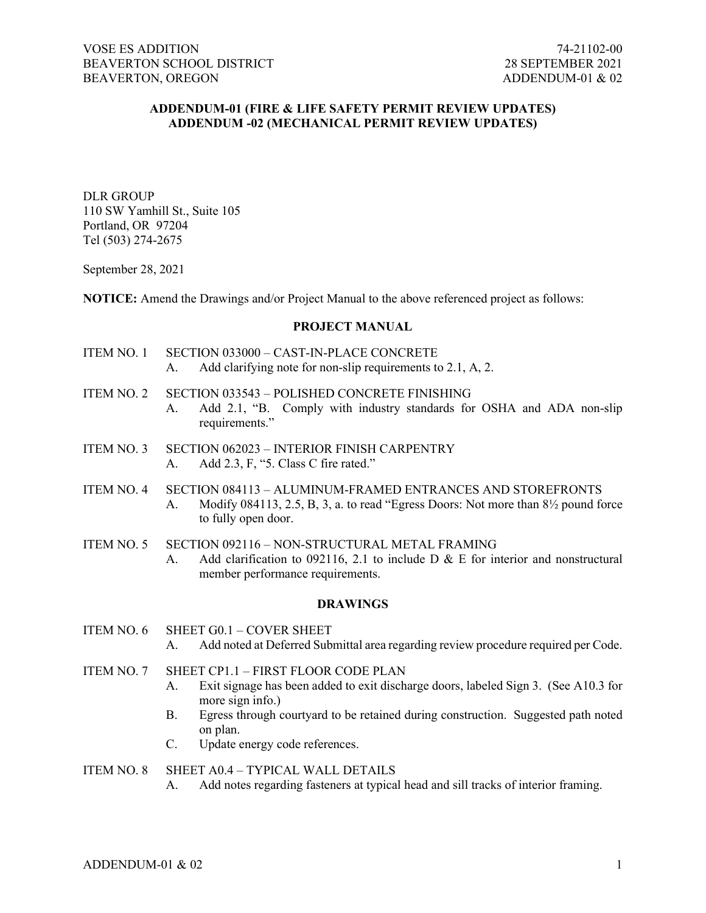# **ADDENDUM-01 (FIRE & LIFE SAFETY PERMIT REVIEW UPDATES) ADDENDUM -02 (MECHANICAL PERMIT REVIEW UPDATES)**

DLR GROUP 110 SW Yamhill St., Suite 105 Portland, OR 97204 Tel (503) 274-2675

September 28, 2021

**NOTICE:** Amend the Drawings and/or Project Manual to the above referenced project as follows:

### **PROJECT MANUAL**

- ITEM NO. 1 SECTION 033000 CAST-IN-PLACE CONCRETE A. Add clarifying note for non-slip requirements to 2.1, A, 2.
	-
- ITEM NO. 2 SECTION 033543 POLISHED CONCRETE FINISHING
	- A. Add 2.1, "B. Comply with industry standards for OSHA and ADA non-slip requirements."
- ITEM NO. 3 SECTION 062023 INTERIOR FINISH CARPENTRY A. Add 2.3, F, "5. Class C fire rated."
- ITEM NO. 4 SECTION 084113 ALUMINUM-FRAMED ENTRANCES AND STOREFRONTS A. Modify 084113, 2.5, B, 3, a. to read "Egress Doors: Not more than 8½ pound force to fully open door.
- ITEM NO. 5 SECTION 092116 NON-STRUCTURAL METAL FRAMING
	- A. Add clarification to 092116, 2.1 to include D & E for interior and nonstructural member performance requirements.

### **DRAWINGS**

- ITEM NO. 6 SHEET G0.1 COVER SHEET
	- A. Add noted at Deferred Submittal area regarding review procedure required per Code.
- ITEM NO. 7 SHEET CP1.1 FIRST FLOOR CODE PLAN
	- A. Exit signage has been added to exit discharge doors, labeled Sign 3. (See A10.3 for more sign info.)
	- B. Egress through courtyard to be retained during construction. Suggested path noted on plan.
	- C. Update energy code references.

#### ITEM NO. 8 SHEET A0.4 – TYPICAL WALL DETAILS

A. Add notes regarding fasteners at typical head and sill tracks of interior framing.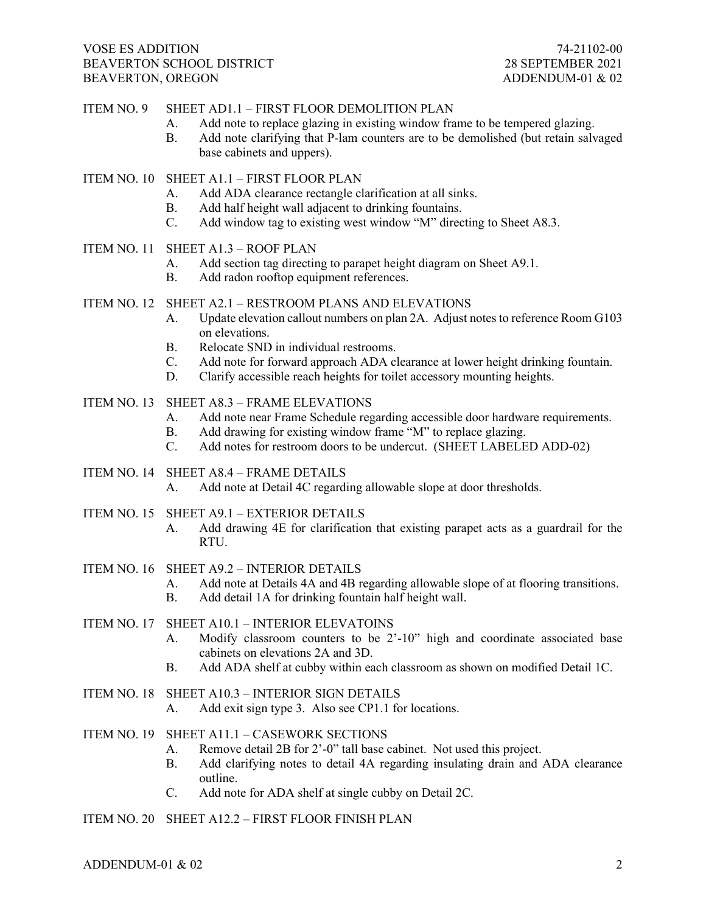## VOSE ES ADDITION 74-21102-00 BEAVERTON SCHOOL DISTRICT BEAVERTON, OREGON ADDENDUM-01 & 02

## ITEM NO. 9 SHEET AD1.1 – FIRST FLOOR DEMOLITION PLAN

- A. Add note to replace glazing in existing window frame to be tempered glazing.
- B. Add note clarifying that P-lam counters are to be demolished (but retain salvaged base cabinets and uppers).

## ITEM NO. 10 SHEET A1.1 – FIRST FLOOR PLAN

- A. Add ADA clearance rectangle clarification at all sinks.
- B. Add half height wall adjacent to drinking fountains.
- C. Add window tag to existing west window "M" directing to Sheet A8.3.

## ITEM NO. 11 SHEET A1.3 – ROOF PLAN

- A. Add section tag directing to parapet height diagram on Sheet A9.1.
- B. Add radon rooftop equipment references.

## ITEM NO. 12 SHEET A2.1 – RESTROOM PLANS AND ELEVATIONS

- A. Update elevation callout numbers on plan 2A. Adjust notes to reference Room G103 on elevations.
- B. Relocate SND in individual restrooms.
- C. Add note for forward approach ADA clearance at lower height drinking fountain.
- D. Clarify accessible reach heights for toilet accessory mounting heights.
- ITEM NO. 13 SHEET A8.3 FRAME ELEVATIONS
	- A. Add note near Frame Schedule regarding accessible door hardware requirements.
	- B. Add drawing for existing window frame "M" to replace glazing.
	- C. Add notes for restroom doors to be undercut. (SHEET LABELED ADD-02)
- ITEM NO. 14 SHEET A8.4 FRAME DETAILS

A. Add note at Detail 4C regarding allowable slope at door thresholds.

- ITEM NO. 15 SHEET A9.1 EXTERIOR DETAILS
	- A. Add drawing 4E for clarification that existing parapet acts as a guardrail for the RTU.
- ITEM NO. 16 SHEET A9.2 INTERIOR DETAILS
	- A. Add note at Details 4A and 4B regarding allowable slope of at flooring transitions.
	- B. Add detail 1A for drinking fountain half height wall.
- ITEM NO. 17 SHEET A10.1 INTERIOR ELEVATOINS
	- A. Modify classroom counters to be 2'-10" high and coordinate associated base cabinets on elevations 2A and 3D.
	- B. Add ADA shelf at cubby within each classroom as shown on modified Detail 1C.
- ITEM NO. 18 SHEET A10.3 INTERIOR SIGN DETAILS
	- A. Add exit sign type 3. Also see CP1.1 for locations.
- ITEM NO. 19 SHEET A11.1 CASEWORK SECTIONS
	- A. Remove detail 2B for 2'-0" tall base cabinet. Not used this project.
	- B. Add clarifying notes to detail 4A regarding insulating drain and ADA clearance outline.
	- C. Add note for ADA shelf at single cubby on Detail 2C.
- ITEM NO. 20 SHEET A12.2 FIRST FLOOR FINISH PLAN

ADDENDUM-01 & 02  $\qquad \qquad$  2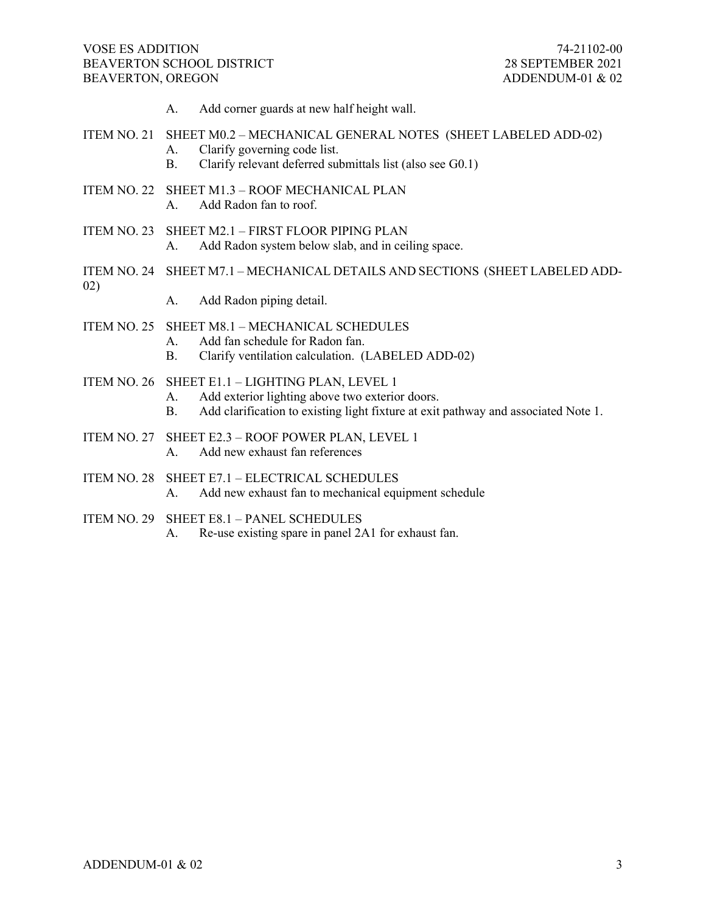A. Add corner guards at new half height wall.

### ITEM NO. 21 SHEET M0.2 – MECHANICAL GENERAL NOTES (SHEET LABELED ADD-02)

- A. Clarify governing code list.
- B. Clarify relevant deferred submittals list (also see G0.1)
- ITEM NO. 22 SHEET M1.3 ROOF MECHANICAL PLAN A. Add Radon fan to roof.
- ITEM NO. 23 SHEET M2.1 FIRST FLOOR PIPING PLAN
	- A. Add Radon system below slab, and in ceiling space.
- ITEM NO. 24 SHEET M7.1 MECHANICAL DETAILS AND SECTIONS (SHEET LABELED ADD-02)
	- A. Add Radon piping detail.
- ITEM NO. 25 SHEET M8.1 MECHANICAL SCHEDULES
	- A. Add fan schedule for Radon fan.<br>B. Clarify ventilation calculation. (1)
		- Clarify ventilation calculation. (LABELED ADD-02)
- ITEM NO. 26 SHEET E1.1 LIGHTING PLAN, LEVEL 1
	- A. Add exterior lighting above two exterior doors.
		- B. Add clarification to existing light fixture at exit pathway and associated Note 1.
- ITEM NO. 27 SHEET E2.3 ROOF POWER PLAN, LEVEL 1 A. Add new exhaust fan references
- ITEM NO. 28 SHEET E7.1 ELECTRICAL SCHEDULES A. Add new exhaust fan to mechanical equipment schedule
- ITEM NO. 29 SHEET E8.1 PANEL SCHEDULES
	- A. Re-use existing spare in panel 2A1 for exhaust fan.